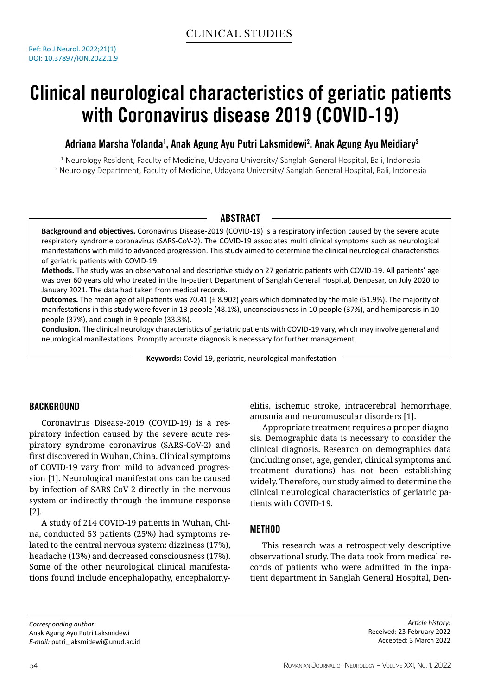# Clinical neurological characteristics of geriatic patients with Coronavirus disease 2019 (COVID-19)

Adriana Marsha Yolanda<sup>1</sup>, Anak Agung Ayu Putri Laksmidewi<sup>2</sup>, Anak Agung Ayu Meidiary<sup>2</sup>

1 Neurology Resident, Faculty of Medicine, Udayana University/ Sanglah General Hospital, Bali, Indonesia 2 Neurology Department, Faculty of Medicine, Udayana University/ Sanglah General Hospital, Bali, Indonesia

# **ABSTRACT**

**Background and objectives.** Coronavirus Disease-2019 (COVID-19) is a respiratory infection caused by the severe acute respiratory syndrome coronavirus (SARS-CoV-2). The COVID-19 associates multi clinical symptoms such as neurological manifestations with mild to advanced progression. This study aimed to determine the clinical neurological characteristics of geriatric patients with COVID-19.

**Methods.** The study was an observational and descriptive study on 27 geriatric patients with COVID-19. All patients' age was over 60 years old who treated in the In-patient Department of Sanglah General Hospital, Denpasar, on July 2020 to January 2021. The data had taken from medical records.

**Outcomes.** The mean age of all patients was 70.41 (± 8.902) years which dominated by the male (51.9%). The majority of manifestations in this study were fever in 13 people (48.1%), unconsciousness in 10 people (37%), and hemiparesis in 10 people (37%), and cough in 9 people (33.3%).

**Conclusion.** The clinical neurology characteristics of geriatric patients with COVID-19 vary, which may involve general and neurological manifestations. Promptly accurate diagnosis is necessary for further management.

**Keywords:** Covid-19, geriatric, neurological manifestation

# BACKGROUND

Coronavirus Disease-2019 (COVID-19) is a respiratory infection caused by the severe acute respiratory syndrome coronavirus (SARS-CoV-2) and first discovered in Wuhan, China. Clinical symptoms of COVID-19 vary from mild to advanced progression [1]. Neurological manifestations can be caused by infection of SARS-CoV-2 directly in the nervous system or indirectly through the immune response [2].

A study of 214 COVID-19 patients in Wuhan, China, conducted 53 patients (25%) had symptoms related to the central nervous system: dizziness (17%), headache (13%) and decreased consciousness (17%). Some of the other neurological clinical manifestations found include encephalopathy, encephalomyelitis, ischemic stroke, intracerebral hemorrhage, anosmia and neuromuscular disorders [1].

Appropriate treatment requires a proper diagnosis. Demographic data is necessary to consider the clinical diagnosis. Research on demographics data (including onset, age, gender, clinical symptoms and treatment durations) has not been establishing widely. Therefore, our study aimed to determine the clinical neurological characteristics of geriatric patients with COVID-19.

# METHOD

This research was a retrospectively descriptive observational study. The data took from medical records of patients who were admitted in the inpatient department in Sanglah General Hospital, Den-

*Corresponding author:* Anak Agung Ayu Putri Laksmidewi *E-mail:* putri\_laksmidewi@unud.ac.id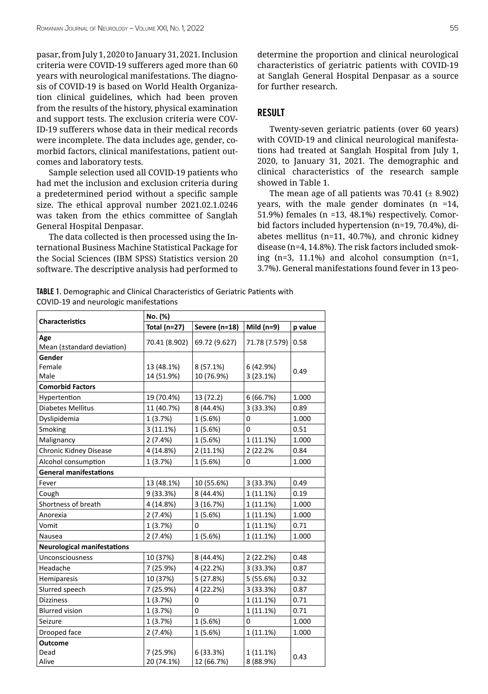pasar, from July 1, 2020 to January 31, 2021. Inclusion criteria were COVID-19 sufferers aged more than 60 years with neurological manifestations. The diagnosis of COVID-19 is based on World Health Organization clinical guidelines, which had been proven from the results of the history, physical examination and support tests. The exclusion criteria were COV-ID-19 sufferers whose data in their medical records were incomplete. The data includes age, gender, comorbid factors, clinical manifestations, patient outcomes and laboratory tests.

Sample selection used all COVID-19 patients who had met the inclusion and exclusion criteria during a predetermined period without a specific sample size. The ethical approval number 2021.02.1.0246 was taken from the ethics committee of Sanglah General Hospital Denpasar.

The data collected is then processed using the International Business Machine Statistical Package for the Social Sciences (IBM SPSS) Statistics version 20 software. The descriptive analysis had performed to determine the proportion and clinical neurological characteristics of geriatric patients with COVID-19 at Sanglah General Hospital Denpasar as a source for further research.

## RESULT

Twenty-seven geriatric patients (over 60 years) with COVID-19 and clinical neurological manifestations had treated at Sanglah Hospital from July 1, 2020, to January 31, 2021. The demographic and clinical characteristics of the research sample showed in Table 1.

The mean age of all patients was  $70.41$  ( $\pm$  8.902) years, with the male gender dominates (n =14, 51.9%) females (n =13, 48.1%) respectively. Comorbid factors included hypertension (n=19, 70.4%), diabetes mellitus (n=11, 40.7%), and chronic kidney disease (n=4, 14.8%). The risk factors included smoking (n=3, 11.1%) and alcohol consumption (n=1, 3.7%). General manifestations found fever in 13 peo-

TABLE 1. Demographic and Clinical Characteristics of Geriatric Patients with COVID-19 and neurologic manifestations

|                                    | No. (%)       |               |               |         |  |
|------------------------------------|---------------|---------------|---------------|---------|--|
| <b>Characteristics</b>             | Total (n=27)  | Severe (n=18) | Mild $(n=9)$  | p value |  |
| Age                                | 70.41 (8.902) | 69.72 (9.627) | 71.78 (7.579) | 0.58    |  |
| Mean (±standard deviation)         |               |               |               |         |  |
| Gender                             |               |               |               |         |  |
| Female                             | 13 (48.1%)    | 8 (57.1%)     | 6 (42.9%)     | 0.49    |  |
| Male                               | 14 (51.9%)    | 10 (76.9%)    | 3(23.1%)      |         |  |
| <b>Comorbid Factors</b>            |               |               |               |         |  |
| Hypertention                       | 19 (70.4%)    | 13 (72.2)     | 6(66.7%)      | 1.000   |  |
| Diabetes Mellitus                  | 11 (40.7%)    | 8 (44.4%)     | 3(33.3%)      | 0.89    |  |
| Dyslipidemia                       | 1(3.7%)       | 1(5.6%)       | 0             | 1.000   |  |
| Smoking                            | 3(11.1%)      | 1(5.6%)       | 0             | 0.51    |  |
| Malignancy                         | 2(7.4%)       | 1(5.6%)       | 1 (11.1%)     | 1.000   |  |
| Chronic Kidney Disease             | 4 (14.8%)     | 2(11.1%)      | 2 (22.2%)     | 0.84    |  |
| Alcohol consumption                | 1(3.7%)       | 1(5.6%)       | 0             | 1.000   |  |
| <b>General manifestations</b>      |               |               |               |         |  |
| Fever                              | 13 (48.1%)    | 10 (55.6%)    | 3(33.3%)      | 0.49    |  |
| Cough                              | 9 (33.3%)     | 8 (44.4%)     | $1(11.1\%)$   | 0.19    |  |
| Shortness of breath                | 4 (14.8%)     | 3 (16.7%)     | $1(11.1\%)$   | 1.000   |  |
| Anorexia                           | 2(7.4%)       | 1(5.6%)       | 1(11.1%)      | 1.000   |  |
| Vomit                              | 1(3.7%)       | 0             | $1(11.1\%)$   | 0.71    |  |
| Nausea                             | 2(7.4%)       | 1(5.6%)       | 1(11.1%)      | 1.000   |  |
| <b>Neurological manifestations</b> |               |               |               |         |  |
| Unconsciousness                    | 10 (37%)      | 8 (44.4%)     | 2(22.2%)      | 0.48    |  |
| Headache                           | 7 (25.9%)     | 4 (22.2%)     | 3(33.3%)      | 0.87    |  |
| Hemiparesis                        | 10 (37%)      | 5 (27.8%)     | 5(55.6%)      | 0.32    |  |
| Slurred speech                     | 7 (25.9%)     | 4 (22.2%)     | 3 (33.3%)     | 0.87    |  |
| <b>Dizziness</b>                   | 1(3.7%)       | 0             | 1 (11.1%)     | 0.71    |  |
| <b>Blurred vision</b>              | 1(3.7%)       | 0             | 1 (11.1%)     | 0.71    |  |
| Seizure                            | 1(3.7%)       | 1(5.6%)       | 0             | 1.000   |  |
| Drooped face                       | 2(7.4%)       | 1(5.6%)       | 1 (11.1%)     | 1.000   |  |
| <b>Outcome</b>                     |               |               |               |         |  |
| Dead                               | 7 (25.9%)     | 6(33.3%)      | 1 (11.1%)     | 0.43    |  |
| Alive                              | 20 (74.1%)    | 12 (66.7%)    | 8 (88.9%)     |         |  |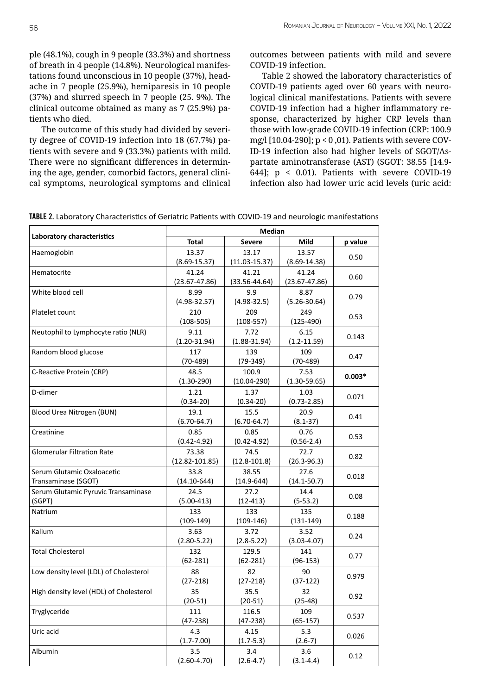ple (48.1%), cough in 9 people (33.3%) and shortness of breath in 4 people (14.8%). Neurological manifestations found unconscious in 10 people (37%), headache in 7 people (25.9%), hemiparesis in 10 people (37%) and slurred speech in 7 people (25. 9%). The clinical outcome obtained as many as 7 (25.9%) patients who died.

The outcome of this study had divided by severity degree of COVID-19 infection into 18 (67.7%) patients with severe and 9 (33.3%) patients with mild. There were no significant differences in determining the age, gender, comorbid factors, general clinical symptoms, neurological symptoms and clinical outcomes between patients with mild and severe COVID-19 infection.

Table 2 showed the laboratory characteristics of COVID-19 patients aged over 60 years with neurological clinical manifestations. Patients with severe COVID-19 infection had a higher inflammatory response, characterized by higher CRP levels than those with low-grade COVID-19 infection (CRP: 100.9 mg/l [10.04-290]; p < 0 ,01). Patients with severe COV-ID-19 infection also had higher levels of SGOT/Aspartate aminotransferase (AST) (SGOT: 38.55 [14.9- 644]; p < 0.01). Patients with severe COVID-19 infection also had lower uric acid levels (uric acid:

|  |  |  |  | TABLE 2. Laboratory Characteristics of Geriatric Patients with COVID-19 and neurologic manifestations |
|--|--|--|--|-------------------------------------------------------------------------------------------------------|
|--|--|--|--|-------------------------------------------------------------------------------------------------------|

| Laboratory characteristics              | Median             |                   |                   |          |  |
|-----------------------------------------|--------------------|-------------------|-------------------|----------|--|
|                                         | <b>Total</b>       | <b>Severe</b>     | <b>Mild</b>       | p value  |  |
| Haemoglobin                             | 13.37              | 13.17             | 13.57             |          |  |
|                                         | $(8.69 - 15.37)$   | $(11.03 - 15.37)$ | $(8.69 - 14.38)$  | 0.50     |  |
| Hematocrite                             | 41.24              | 41.21             | 41.24             |          |  |
|                                         | $(23.67 - 47.86)$  | $(33.56 - 44.64)$ | $(23.67 - 47.86)$ | 0.60     |  |
| White blood cell                        | 8.99               | 9.9               | 8.87              |          |  |
|                                         | $(4.98 - 32.57)$   | $(4.98 - 32.5)$   | $(5.26 - 30.64)$  | 0.79     |  |
| Platelet count                          | 210                | 209               | 249               | 0.53     |  |
|                                         | $(108-505)$        | $(108-557)$       | $(125-490)$       |          |  |
| Neutophil to Lymphocyte ratio (NLR)     | 9.11               | 7.72              | 6.15              | 0.143    |  |
|                                         | $(1.20 - 31.94)$   | $(1.88 - 31.94)$  | $(1.2 - 11.59)$   |          |  |
| Random blood glucose                    | 117                | 139               | 109               | 0.47     |  |
|                                         | $(70-489)$         | $(79-349)$        | $(70-489)$        |          |  |
| C-Reactive Protein (CRP)                | 48.5               | 100.9             | 7.53              | $0.003*$ |  |
|                                         | $(1.30-290)$       | $(10.04 - 290)$   | $(1.30 - 59.65)$  |          |  |
| D-dimer                                 | 1.21               | 1.37              | 1.03              | 0.071    |  |
|                                         | $(0.34 - 20)$      | $(0.34 - 20)$     | $(0.73 - 2.85)$   |          |  |
| Blood Urea Nitrogen (BUN)               | 19.1               | 15.5              | 20.9              | 0.41     |  |
|                                         | $(6.70 - 64.7)$    | $(6.70 - 64.7)$   | $(8.1 - 37)$      |          |  |
| Creatinine                              | 0.85               | 0.85              | 0.76              | 0.53     |  |
|                                         | $(0.42 - 4.92)$    | $(0.42 - 4.92)$   | $(0.56 - 2.4)$    |          |  |
| <b>Glomerular Filtration Rate</b>       | 73.38              | 74.5              | 72.7              | 0.82     |  |
|                                         | $(12.82 - 101.85)$ | $(12.8 - 101.8)$  | $(26.3 - 96.3)$   |          |  |
| Serum Glutamic Oxaloacetic              | 33.8               | 38.55             | 27.6              | 0.018    |  |
| Transaminase (SGOT)                     | $(14.10 - 644)$    | $(14.9 - 644)$    | $(14.1 - 50.7)$   |          |  |
| Serum Glutamic Pyruvic Transaminase     | 24.5               | 27.2              | 14.4              | 0.08     |  |
| (SGPT)                                  | $(5.00-413)$       | $(12-413)$        | $(5-53.2)$        |          |  |
| Natrium                                 | 133                | 133               | 135               | 0.188    |  |
|                                         | $(109-149)$        | $(109-146)$       | $(131-149)$       |          |  |
| Kalium                                  | 3.63               | 3.72              | 3.52              | 0.24     |  |
|                                         | $(2.80 - 5.22)$    | $(2.8 - 5.22)$    | $(3.03 - 4.07)$   |          |  |
| <b>Total Cholesterol</b>                | 132                | 129.5             | 141               | 0.77     |  |
|                                         | $(62 - 281)$       | $(62 - 281)$      | $(96-153)$        |          |  |
| Low density level (LDL) of Cholesterol  | 88                 | 82                | 90                | 0.979    |  |
|                                         | $(27-218)$         | $(27-218)$        | $(37-122)$        |          |  |
| High density level (HDL) of Cholesterol | 35                 | 35.5              | 32                | 0.92     |  |
|                                         | $(20-51)$          | $(20-51)$         | $(25-48)$         |          |  |
| Tryglyceride                            | 111                | 116.5             | 109               | 0.537    |  |
|                                         | $(47-238)$         | $(47-238)$        | $(65-157)$        |          |  |
| Uric acid                               | 4.3                | 4.15              | 5.3               | 0.026    |  |
|                                         | $(1.7 - 7.00)$     | $(1.7 - 5.3)$     | $(2.6-7)$         |          |  |
| Albumin                                 | 3.5                | 3.4               | 3.6               | 0.12     |  |
|                                         | $(2.60 - 4.70)$    | $(2.6 - 4.7)$     | $(3.1 - 4.4)$     |          |  |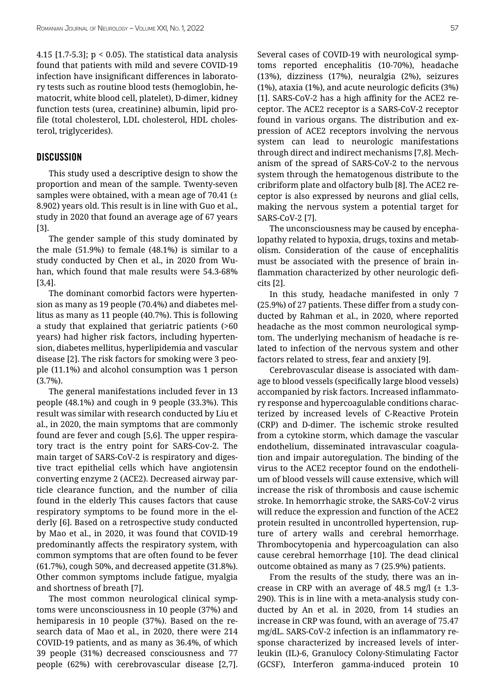4.15 [1.7-5.3]; p < 0.05). The statistical data analysis found that patients with mild and severe COVID-19 infection have insignificant differences in laboratory tests such as routine blood tests (hemoglobin, hematocrit, white blood cell, platelet), D-dimer, kidney function tests (urea, creatinine) albumin, lipid profile (total cholesterol, LDL cholesterol, HDL cholesterol, triglycerides).

#### **DISCUSSION**

This study used a descriptive design to show the proportion and mean of the sample. Twenty-seven samples were obtained, with a mean age of 70.41  $(\pm$ 8.902) years old. This result is in line with Guo et al., study in 2020 that found an average age of 67 years [3].

The gender sample of this study dominated by the male (51.9%) to female (48.1%) is similar to a study conducted by Chen et al., in 2020 from Wuhan, which found that male results were 54.3-68% [3,4].

The dominant comorbid factors were hypertension as many as 19 people (70.4%) and diabetes mellitus as many as 11 people (40.7%). This is following a study that explained that geriatric patients (>60 years) had higher risk factors, including hypertension, diabetes mellitus, hyperlipidemia and vascular disease [2]. The risk factors for smoking were 3 people (11.1%) and alcohol consumption was 1 person (3.7%).

The general manifestations included fever in 13 people (48.1%) and cough in 9 people (33.3%). This result was similar with research conducted by Liu et al., in 2020, the main symptoms that are commonly found are fever and cough [5,6]. The upper respiratory tract is the entry point for SARS-Cov-2. The main target of SARS-CoV-2 is respiratory and digestive tract epithelial cells which have angiotensin converting enzyme 2 (ACE2). Decreased airway particle clearance function, and the number of cilia found in the elderly This causes factors that cause respiratory symptoms to be found more in the elderly [6]. Based on a retrospective study conducted by Mao et al., in 2020, it was found that COVID-19 predominantly affects the respiratory system, with common symptoms that are often found to be fever (61.7%), cough 50%, and decreased appetite (31.8%). Other common symptoms include fatigue, myalgia and shortness of breath [7].

The most common neurological clinical symptoms were unconsciousness in 10 people (37%) and hemiparesis in 10 people (37%). Based on the research data of Mao et al., in 2020, there were 214 COVID-19 patients, and as many as 36.4%, of which 39 people (31%) decreased consciousness and 77 people (62%) with cerebrovascular disease [2,7]. Several cases of COVID-19 with neurological symptoms reported encephalitis (10-70%), headache (13%), dizziness (17%), neuralgia (2%), seizures (1%), ataxia (1%), and acute neurologic deficits (3%) [1]. SARS-CoV-2 has a high affinity for the ACE2 receptor. The ACE2 receptor is a SARS-CoV-2 receptor found in various organs. The distribution and expression of ACE2 receptors involving the nervous system can lead to neurologic manifestations through direct and indirect mechanisms [7,8]. Mechanism of the spread of SARS-CoV-2 to the nervous system through the hematogenous distribute to the cribriform plate and olfactory bulb [8]. The ACE2 receptor is also expressed by neurons and glial cells, making the nervous system a potential target for SARS-CoV-2 [7].

The unconsciousness may be caused by encephalopathy related to hypoxia, drugs, toxins and metabolism. Consideration of the cause of encephalitis must be associated with the presence of brain inflammation characterized by other neurologic deficits [2].

In this study, headache manifested in only 7 (25.9%) of 27 patients. These differ from a study conducted by Rahman et al., in 2020, where reported headache as the most common neurological symptom. The underlying mechanism of headache is related to infection of the nervous system and other factors related to stress, fear and anxiety [9].

Cerebrovascular disease is associated with damage to blood vessels (specifically large blood vessels) accompanied by risk factors. Increased inflammatory response and hypercoagulable conditions characterized by increased levels of C-Reactive Protein (CRP) and D-dimer. The ischemic stroke resulted from a cytokine storm, which damage the vascular endothelium, disseminated intravascular coagulation and impair autoregulation. The binding of the virus to the ACE2 receptor found on the endothelium of blood vessels will cause extensive, which will increase the risk of thrombosis and cause ischemic stroke. In hemorrhagic stroke, the SARS-CoV-2 virus will reduce the expression and function of the ACE2 protein resulted in uncontrolled hypertension, rupture of artery walls and cerebral hemorrhage. Thrombocytopenia and hypercoagulation can also cause cerebral hemorrhage [10]. The dead clinical outcome obtained as many as 7 (25.9%) patients.

From the results of the study, there was an increase in CRP with an average of 48.5 mg/l  $(\pm 1.3$ -290). This is in line with a meta-analysis study conducted by An et al. in 2020, from 14 studies an increase in CRP was found, with an average of 75.47 mg/dL. SARS-CoV-2 infection is an inflammatory response characterized by increased levels of interleukin (IL)-6, Granulocy Colony-Stimulating Factor (GCSF), Interferon gamma-induced protein 10